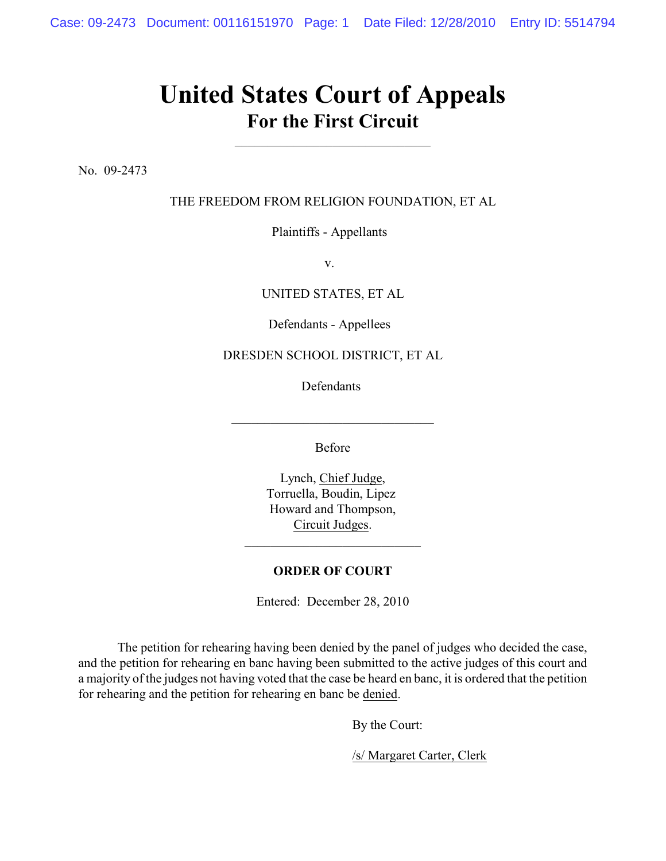## **United States Court of Appeals For the First Circuit**

No. 09-2473

THE FREEDOM FROM RELIGION FOUNDATION, ET AL

Plaintiffs - Appellants

v.

UNITED STATES, ET AL

Defendants - Appellees

## DRESDEN SCHOOL DISTRICT, ET AL

Defendants

Before

\_\_\_\_\_\_\_\_\_\_\_\_\_\_\_\_\_\_\_\_\_\_\_\_\_\_\_\_\_\_\_

Lynch, Chief Judge, Torruella, Boudin, Lipez Howard and Thompson, Circuit Judges.

## **ORDER OF COURT**

Entered: December 28, 2010

The petition for rehearing having been denied by the panel of judges who decided the case, and the petition for rehearing en banc having been submitted to the active judges of this court and a majority of the judges not having voted that the case be heard en banc, it is ordered that the petition for rehearing and the petition for rehearing en banc be denied.

By the Court:

/s/ Margaret Carter, Clerk